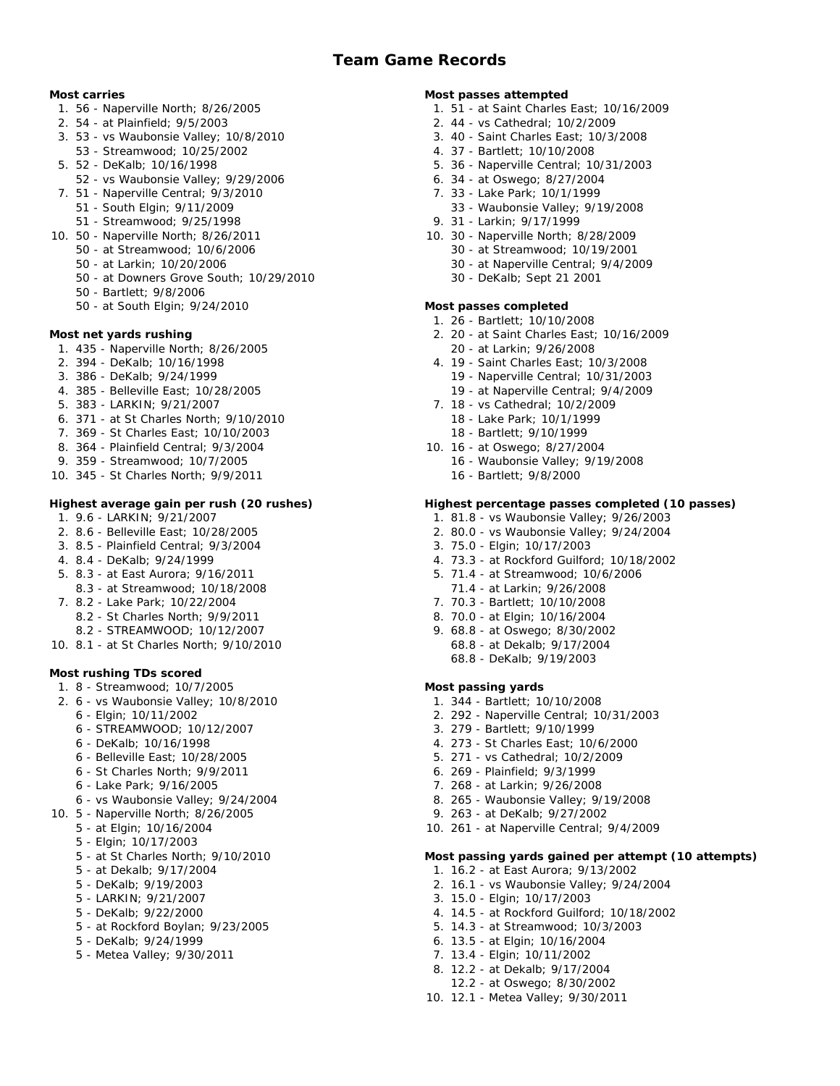# **Most carries**

- 1. 56 Naperville North; 8/26/2005
- 2. 54 at Plainfield; 9/5/2003
- 3. 53 vs Waubonsie Valley; 10/8/2010 53 - Streamwood; 10/25/2002
- 5. 52 DeKalb; 10/16/1998
- 52 vs Waubonsie Valley; 9/29/2006
- 7. 51 Naperville Central; 9/3/2010
	- 51 South Elgin; 9/11/2009
	- 51 Streamwood; 9/25/1998
- 10. 50 Naperville North; 8/26/2011
	- 50 at Streamwood; 10/6/2006
	- 50 at Larkin; 10/20/2006
	- 50 at Downers Grove South; 10/29/2010
	- 50 Bartlett; 9/8/2006
	- 50 at South Elgin; 9/24/2010

**Most net yards rushing**

- 1. 435 Naperville North; 8/26/2005
- 2. 394 DeKalb; 10/16/1998
- 3. 386 DeKalb; 9/24/1999
- 4. 385 Belleville East; 10/28/2005
- 5. 383 LARKIN; 9/21/2007
- 6. 371 at St Charles North; 9/10/2010
- 7. 369 St Charles East; 10/10/2003
- 8. 364 Plainfield Central; 9/3/2004
- 9. 359 Streamwood; 10/7/2005
- 10. 345 St Charles North; 9/9/2011

# **Highest average gain per rush (20 rushes)**

- 1. 9.6 LARKIN; 9/21/2007
- 2. 8.6 Belleville East; 10/28/2005
- 3. 8.5 Plainfield Central; 9/3/2004
- 4. 8.4 DeKalb; 9/24/1999
- 5. 8.3 at East Aurora; 9/16/2011
	- 8.3 at Streamwood; 10/18/2008
- 7. 8.2 Lake Park; 10/22/2004
	- 8.2 St Charles North; 9/9/2011
	- 8.2 STREAMWOOD; 10/12/2007
- 10. 8.1 at St Charles North; 9/10/2010

**Most rushing TDs scored**

- 1. 8 Streamwood; 10/7/2005
- 2. 6 vs Waubonsie Valley; 10/8/2010 6 - Elgin; 10/11/2002
	- 6 STREAMWOOD; 10/12/2007
	- 6 DeKalb; 10/16/1998
	- 6 Belleville East; 10/28/2005
	- 6 St Charles North; 9/9/2011
	- 6 Lake Park; 9/16/2005
	- 6 vs Waubonsie Valley; 9/24/2004
- 10. 5 Naperville North; 8/26/2005
	- 5 at Elgin; 10/16/2004
	- 5 Elgin; 10/17/2003
	- 5 at St Charles North; 9/10/2010
	- 5 at Dekalb; 9/17/2004
	- 5 DeKalb; 9/19/2003
	- 5 LARKIN; 9/21/2007
	- 5 DeKalb; 9/22/2000
	- 5 at Rockford Boylan; 9/23/2005
	- 5 DeKalb; 9/24/1999
	- 5 Metea Valley; 9/30/2011

### **Most passes attempted**

- 1. 51 at Saint Charles East; 10/16/2009
- 2. 44 vs Cathedral; 10/2/2009
- 3. 40 Saint Charles East; 10/3/2008
- 4. 37 Bartlett; 10/10/2008
- 5. 36 Naperville Central; 10/31/2003
- 6. 34 at Oswego; 8/27/2004
- 7. 33 Lake Park; 10/1/1999
- 33 Waubonsie Valley; 9/19/2008
- 9. 31 Larkin; 9/17/1999
- 10. 30 Naperville North; 8/28/2009
	- 30 at Streamwood; 10/19/2001
	- 30 at Naperville Central; 9/4/2009
	- 30 DeKalb; Sept 21 2001

# **Most passes completed**

- 1. 26 Bartlett; 10/10/2008
- 2. 20 at Saint Charles East; 10/16/2009 20 - at Larkin; 9/26/2008
- 4. 19 Saint Charles East; 10/3/2008 19 - Naperville Central; 10/31/2003
	- 19 at Naperville Central; 9/4/2009
- 7. 18 vs Cathedral; 10/2/2009 18 - Lake Park; 10/1/1999 18 - Bartlett; 9/10/1999
- 10. 16 at Oswego; 8/27/2004
	- 16 Waubonsie Valley; 9/19/2008 16 - Bartlett; 9/8/2000

# **Highest percentage passes completed (10 passes)**

- 1. 81.8 vs Waubonsie Valley; 9/26/2003
- 2. 80.0 vs Waubonsie Valley; 9/24/2004
- 3. 75.0 Elgin; 10/17/2003
- 4. 73.3 at Rockford Guilford; 10/18/2002
- 5. 71.4 at Streamwood; 10/6/2006
- 71.4 at Larkin; 9/26/2008
- 7. 70.3 Bartlett; 10/10/2008
- 8. 70.0 at Elgin; 10/16/2004
- 9. 68.8 at Oswego; 8/30/2002 68.8 - at Dekalb; 9/17/2004 68.8 - DeKalb; 9/19/2003

### **Most passing yards**

- 1. 344 Bartlett; 10/10/2008
- 2. 292 Naperville Central; 10/31/2003
- 3. 279 Bartlett; 9/10/1999
- 4. 273 St Charles East; 10/6/2000
- 5. 271 vs Cathedral; 10/2/2009
- 6. 269 Plainfield; 9/3/1999
- 7. 268 at Larkin; 9/26/2008

3. 15.0 - Elgin; 10/17/2003

8. 265 - Waubonsie Valley; 9/19/2008 10. 261 - at Naperville Central; 9/4/2009

1. 16.2 - at East Aurora; 9/13/2002 2. 16.1 - vs Waubonsie Valley; 9/24/2004

4. 14.5 - at Rockford Guilford; 10/18/2002 5. 14.3 - at Streamwood; 10/3/2003 6. 13.5 - at Elgin; 10/16/2004 7. 13.4 - Elgin; 10/11/2002 8. 12.2 - at Dekalb; 9/17/2004 12.2 - at Oswego; 8/30/2002 10. 12.1 - Metea Valley; 9/30/2011

**Most passing yards gained per attempt (10 attempts)**

9. 263 - at DeKalb; 9/27/2002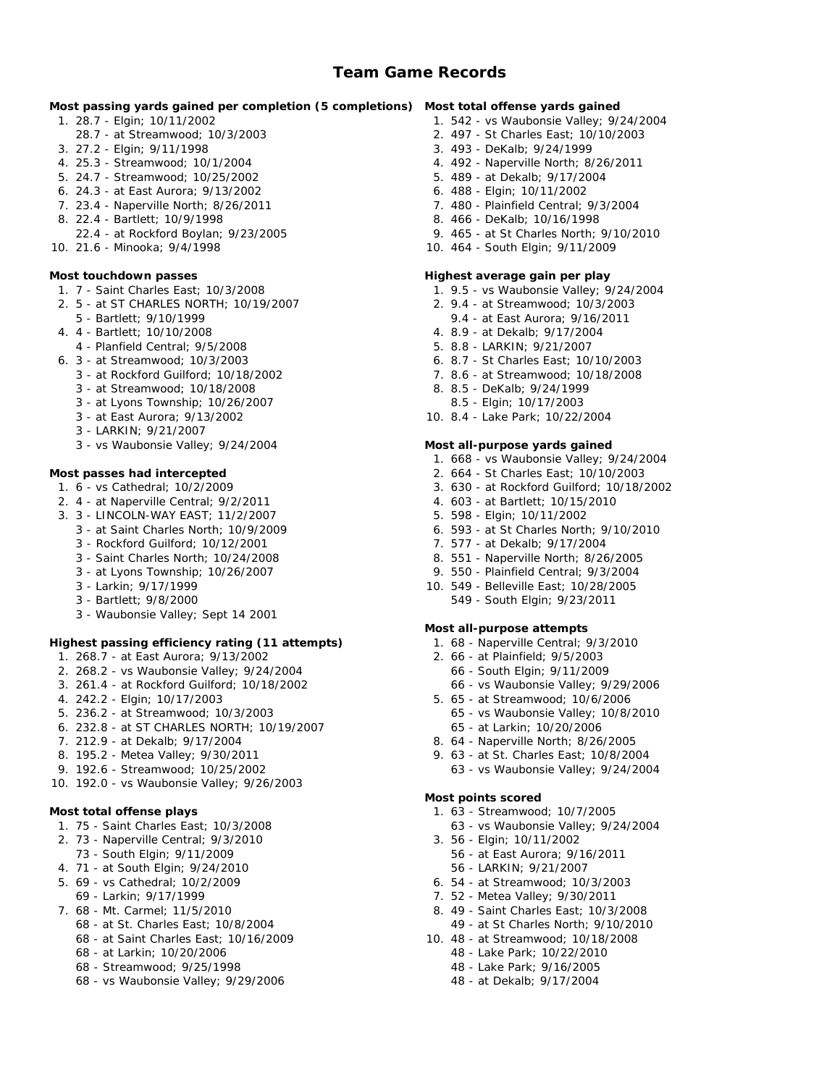**Most passing yards gained per completion (5 completions) Most total offense yards gained** 1. 542 - vs Waubonsie Valley; 9/24/2004

- 1. 28.7 Elgin; 10/11/2002
- 28.7 at Streamwood; 10/3/2003
- 3. 27.2 Elgin; 9/11/1998
- 4. 25.3 Streamwood; 10/1/2004
- 5. 24.7 Streamwood; 10/25/2002
- 6. 24.3 at East Aurora; 9/13/2002
- 7. 23.4 Naperville North; 8/26/2011
- 8. 22.4 Bartlett; 10/9/1998
	- 22.4 at Rockford Boylan; 9/23/2005
- 10. 21.6 Minooka; 9/4/1998

# **Most touchdown passes**

- 1. 7 Saint Charles East; 10/3/2008
- 2. 5 at ST CHARLES NORTH; 10/19/2007
- 5 Bartlett; 9/10/1999
- 4. 4 Bartlett; 10/10/2008
- 4 Planfield Central; 9/5/2008
- 6. 3 at Streamwood; 10/3/2003
	- 3 at Rockford Guilford; 10/18/2002
	- 3 at Streamwood; 10/18/2008
	- 3 at Lyons Township; 10/26/2007
	- 3 at East Aurora; 9/13/2002
	- 3 LARKIN; 9/21/2007
	- 3 vs Waubonsie Valley; 9/24/2004

**Most passes had intercepted**

- 1. 6 vs Cathedral; 10/2/2009
- 2. 4 at Naperville Central; 9/2/2011
- 3. 3 LINCOLN-WAY EAST; 11/2/2007
	- 3 at Saint Charles North; 10/9/2009
	- 3 Rockford Guilford; 10/12/2001
	- 3 Saint Charles North; 10/24/2008
	- 3 at Lyons Township; 10/26/2007
	- 3 Larkin; 9/17/1999
	- 3 Bartlett; 9/8/2000
	- 3 Waubonsie Valley; Sept 14 2001

**Highest passing efficiency rating (11 attempts)**

- 1. 268.7 at East Aurora; 9/13/2002
- 2. 268.2 vs Waubonsie Valley; 9/24/2004
- 3. 261.4 at Rockford Guilford; 10/18/2002
- 4. 242.2 Elgin; 10/17/2003
- 5. 236.2 at Streamwood; 10/3/2003
- 6. 232.8 at ST CHARLES NORTH; 10/19/2007
- 7. 212.9 at Dekalb; 9/17/2004
- 8. 195.2 Metea Valley; 9/30/2011
- 9. 192.6 Streamwood; 10/25/2002
- 10. 192.0 vs Waubonsie Valley; 9/26/2003

### **Most total offense plays**

- 1. 75 Saint Charles East; 10/3/2008
- 2. 73 Naperville Central; 9/3/2010
- 73 South Elgin; 9/11/2009
- 4. 71 at South Elgin; 9/24/2010
- 5. 69 vs Cathedral; 10/2/2009
- 69 Larkin; 9/17/1999
- 7. 68 Mt. Carmel; 11/5/2010
	- 68 at St. Charles East; 10/8/2004
	- 68 at Saint Charles East; 10/16/2009 68 - at Larkin; 10/20/2006
	- 68 Streamwood; 9/25/1998
	-
	- 68 vs Waubonsie Valley; 9/29/2006
- 2. 497 St Charles East; 10/10/2003 3. 493 - DeKalb; 9/24/1999
	- 4. 492 Naperville North; 8/26/2011
	- 5. 489 at Dekalb; 9/17/2004
- 6. 488 Elgin; 10/11/2002
- 7. 480 Plainfield Central; 9/3/2004
- 8. 466 DeKalb; 10/16/1998
- 9. 465 at St Charles North; 9/10/2010
- 10. 464 South Elgin; 9/11/2009

**Highest average gain per play**

- 1. 9.5 vs Waubonsie Valley; 9/24/2004
- 2. 9.4 at Streamwood; 10/3/2003
- 9.4 at East Aurora; 9/16/2011
- 4. 8.9 at Dekalb; 9/17/2004
- 5. 8.8 LARKIN; 9/21/2007
- 6. 8.7 St Charles East; 10/10/2003
- 7. 8.6 at Streamwood; 10/18/2008
- 8. 8.5 DeKalb; 9/24/1999 8.5 - Elgin; 10/17/2003
- 10. 8.4 Lake Park; 10/22/2004

# **Most all-purpose yards gained**

- 1. 668 vs Waubonsie Valley; 9/24/2004
- 2. 664 St Charles East; 10/10/2003
- 3. 630 at Rockford Guilford; 10/18/2002
- 4. 603 at Bartlett; 10/15/2010
- 5. 598 Elgin; 10/11/2002
- 6. 593 at St Charles North; 9/10/2010
- 7. 577 at Dekalb; 9/17/2004
- 8. 551 Naperville North; 8/26/2005
- 9. 550 Plainfield Central; 9/3/2004
- 10. 549 Belleville East; 10/28/2005 549 - South Elgin; 9/23/2011

### **Most all-purpose attempts**

- 1. 68 Naperville Central; 9/3/2010
- 2. 66 at Plainfield; 9/5/2003 66 - South Elgin; 9/11/2009
	- 66 vs Waubonsie Valley; 9/29/2006
- 5. 65 at Streamwood; 10/6/2006 65 - vs Waubonsie Valley; 10/8/2010 65 - at Larkin; 10/20/2006
- 8. 64 Naperville North; 8/26/2005
- 9. 63 at St. Charles East; 10/8/2004
- 63 vs Waubonsie Valley; 9/24/2004

### **Most points scored**

- 1. 63 Streamwood; 10/7/2005
- 63 vs Waubonsie Valley; 9/24/2004 3. 56 - Elgin; 10/11/2002

56 - at East Aurora; 9/16/2011 56 - LARKIN; 9/21/2007 6. 54 - at Streamwood; 10/3/2003 7. 52 - Metea Valley; 9/30/2011 8. 49 - Saint Charles East; 10/3/2008 49 - at St Charles North; 9/10/2010 10. 48 - at Streamwood; 10/18/2008 48 - Lake Park; 10/22/2010 48 - Lake Park; 9/16/2005 48 - at Dekalb; 9/17/2004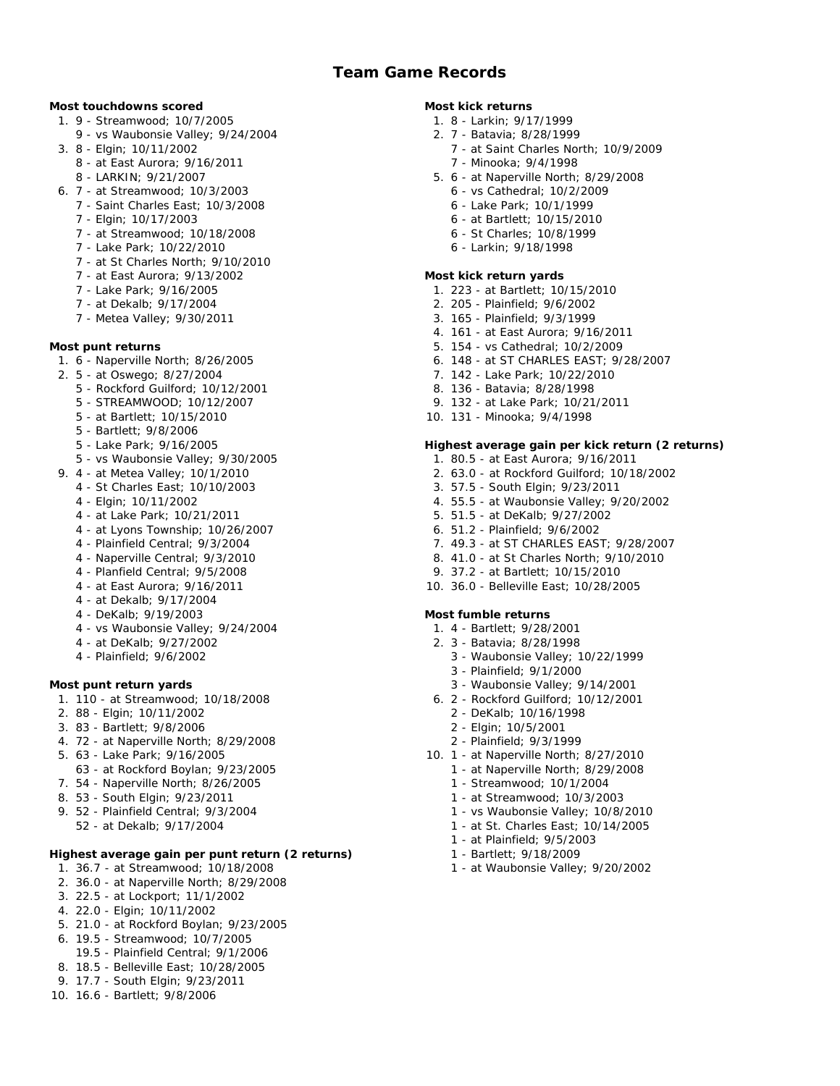- **Most touchdowns scored**
	- 1. 9 Streamwood; 10/7/2005
		- 9 vs Waubonsie Valley; 9/24/2004
	- 3. 8 Elgin; 10/11/2002
		- 8 at East Aurora; 9/16/2011
		- 8 LARKIN; 9/21/2007
	- 6. 7 at Streamwood; 10/3/2003
		- 7 Saint Charles East; 10/3/2008
		- 7 Elgin; 10/17/2003
		- 7 at Streamwood; 10/18/2008
		- 7 Lake Park; 10/22/2010
		- 7 at St Charles North; 9/10/2010
		- 7 at East Aurora; 9/13/2002
		- 7 Lake Park; 9/16/2005
		- 7 at Dekalb; 9/17/2004
		- 7 Metea Valley; 9/30/2011
- **Most punt returns**
	- 1. 6 Naperville North; 8/26/2005
	- 2. 5 at Oswego; 8/27/2004
		- 5 Rockford Guilford; 10/12/2001
		- 5 STREAMWOOD; 10/12/2007
		- 5 at Bartlett; 10/15/2010
		- 5 Bartlett; 9/8/2006
		- 5 Lake Park; 9/16/2005
		- 5 vs Waubonsie Valley; 9/30/2005
	- 9. 4 at Metea Valley; 10/1/2010
	- 4 St Charles East; 10/10/2003
		- 4 Elgin; 10/11/2002
		- 4 at Lake Park; 10/21/2011
		- 4 at Lyons Township; 10/26/2007
		- 4 Plainfield Central; 9/3/2004
		- 4 Naperville Central; 9/3/2010
		- 4 Planfield Central; 9/5/2008
		- 4 at East Aurora; 9/16/2011
		- 4 at Dekalb; 9/17/2004
		- 4 DeKalb; 9/19/2003
		- 4 vs Waubonsie Valley; 9/24/2004
		- 4 at DeKalb; 9/27/2002
		- 4 Plainfield; 9/6/2002

### **Most punt return yards**

- 1. 110 at Streamwood; 10/18/2008
- 2. 88 Elgin; 10/11/2002
- 3. 83 Bartlett; 9/8/2006
- 4. 72 at Naperville North; 8/29/2008
- 5. 63 Lake Park; 9/16/2005
- 63 at Rockford Boylan; 9/23/2005
- 7. 54 Naperville North; 8/26/2005
- 8. 53 South Elgin; 9/23/2011
- 9. 52 Plainfield Central; 9/3/2004
	- 52 at Dekalb; 9/17/2004

**Highest average gain per punt return (2 returns)**

- 1. 36.7 at Streamwood; 10/18/2008
- 2. 36.0 at Naperville North; 8/29/2008
- 3. 22.5 at Lockport; 11/1/2002
- 4. 22.0 Elgin; 10/11/2002
- 5. 21.0 at Rockford Boylan; 9/23/2005
- 6. 19.5 Streamwood; 10/7/2005
- 19.5 Plainfield Central; 9/1/2006
- 8. 18.5 Belleville East; 10/28/2005
- 9. 17.7 South Elgin; 9/23/2011
- 10. 16.6 Bartlett; 9/8/2006

**Most kick returns**

- 1. 8 Larkin; 9/17/1999
- 2. 7 Batavia; 8/28/1999
	- 7 at Saint Charles North; 10/9/2009 7 - Minooka; 9/4/1998
- 5. 6 at Naperville North; 8/29/2008
	- 6 vs Cathedral; 10/2/2009
	- 6 Lake Park; 10/1/1999
	- 6 at Bartlett; 10/15/2010
	- 6 St Charles; 10/8/1999
	- 6 Larkin; 9/18/1998

### **Most kick return yards**

- 1. 223 at Bartlett; 10/15/2010
- 2. 205 Plainfield; 9/6/2002
- 3. 165 Plainfield; 9/3/1999
- 4. 161 at East Aurora; 9/16/2011
- 5. 154 vs Cathedral; 10/2/2009
- 6. 148 at ST CHARLES EAST; 9/28/2007
- 7. 142 Lake Park; 10/22/2010
- 8. 136 Batavia; 8/28/1998
- 9. 132 at Lake Park; 10/21/2011
- 10. 131 Minooka; 9/4/1998

**Highest average gain per kick return (2 returns)**

- 1. 80.5 at East Aurora; 9/16/2011
- 2. 63.0 at Rockford Guilford; 10/18/2002
- 3. 57.5 South Elgin; 9/23/2011
- 4. 55.5 at Waubonsie Valley; 9/20/2002
- 5. 51.5 at DeKalb; 9/27/2002
- 6. 51.2 Plainfield; 9/6/2002
- 7. 49.3 at ST CHARLES EAST; 9/28/2007
- 8. 41.0 at St Charles North; 9/10/2010
- 9. 37.2 at Bartlett; 10/15/2010
- 10. 36.0 Belleville East; 10/28/2005

### **Most fumble returns**

- 1. 4 Bartlett; 9/28/2001
- 2. 3 Batavia; 8/28/1998

2 - DeKalb; 10/16/1998 2 - Elgin; 10/5/2001 2 - Plainfield; 9/3/1999 10. 1 - at Naperville North; 8/27/2010 1 - at Naperville North; 8/29/2008 1 - Streamwood; 10/1/2004 1 - at Streamwood; 10/3/2003 1 - vs Waubonsie Valley; 10/8/2010 1 - at St. Charles East; 10/14/2005

> 1 - at Plainfield; 9/5/2003 1 - Bartlett; 9/18/2009

1 - at Waubonsie Valley; 9/20/2002

- 3 Waubonsie Valley; 10/22/1999
- 3 Plainfield; 9/1/2000
- 3 Waubonsie Valley; 9/14/2001 6. 2 - Rockford Guilford; 10/12/2001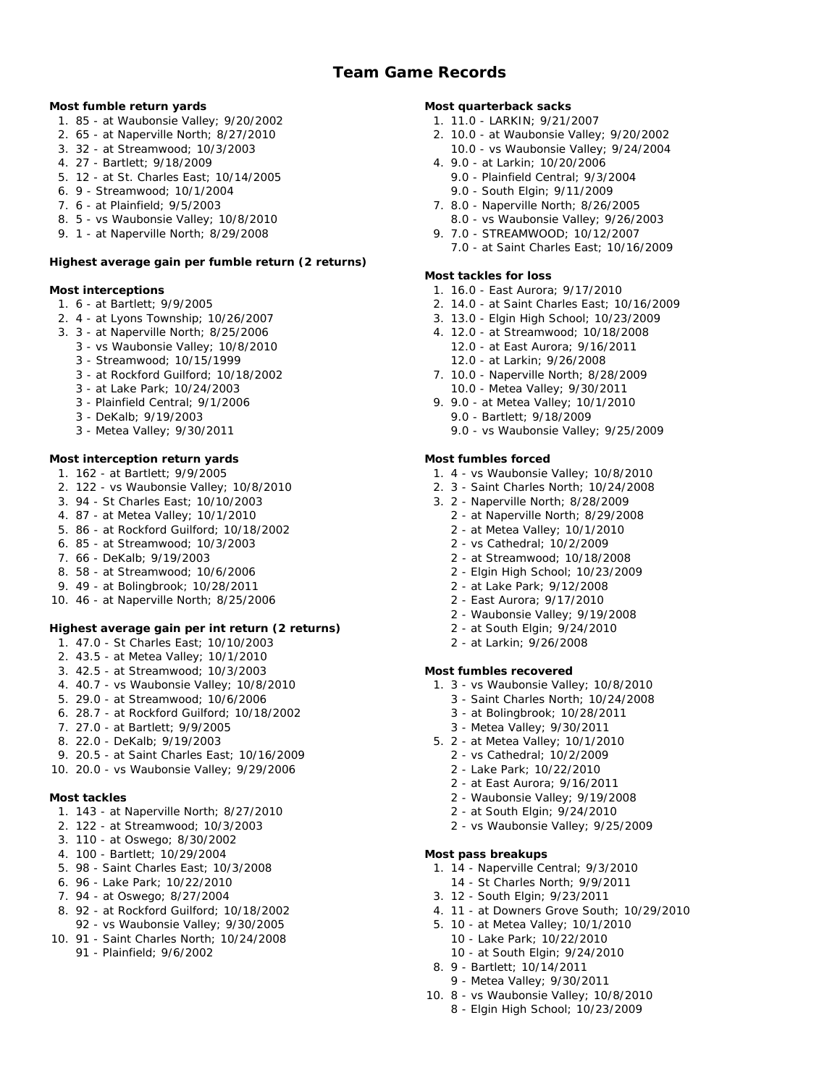**Most fumble return yards**

- 1. 85 at Waubonsie Valley; 9/20/2002
- 2. 65 at Naperville North; 8/27/2010
- 3. 32 at Streamwood; 10/3/2003
- 4. 27 Bartlett; 9/18/2009
- 5. 12 at St. Charles East; 10/14/2005
- 6. 9 Streamwood; 10/1/2004
- 7. 6 at Plainfield; 9/5/2003
- 8. 5 vs Waubonsie Valley; 10/8/2010
- 9. 1 at Naperville North; 8/29/2008

**Highest average gain per fumble return (2 returns)**

# **Most interceptions**

- 1. 6 at Bartlett; 9/9/2005
- 2. 4 at Lyons Township; 10/26/2007
- 3. 3 at Naperville North; 8/25/2006
	- 3 vs Waubonsie Valley; 10/8/2010
		- 3 Streamwood; 10/15/1999
		- 3 at Rockford Guilford; 10/18/2002
		- 3 at Lake Park; 10/24/2003
	- 3 Plainfield Central; 9/1/2006
	- 3 DeKalb; 9/19/2003
	- 3 Metea Valley; 9/30/2011

# **Most interception return yards**

- 1. 162 at Bartlett; 9/9/2005
- 2. 122 vs Waubonsie Valley; 10/8/2010
- 3. 94 St Charles East; 10/10/2003
- 4. 87 at Metea Valley; 10/1/2010
- 5. 86 at Rockford Guilford; 10/18/2002
- 6. 85 at Streamwood; 10/3/2003
- 7. 66 DeKalb; 9/19/2003
- 8. 58 at Streamwood; 10/6/2006
- 9. 49 at Bolingbrook; 10/28/2011
- 10. 46 at Naperville North; 8/25/2006

**Highest average gain per int return (2 returns)**

- 1. 47.0 St Charles East; 10/10/2003
- 2. 43.5 at Metea Valley; 10/1/2010
- 3. 42.5 at Streamwood; 10/3/2003
- 4. 40.7 vs Waubonsie Valley; 10/8/2010
- 5. 29.0 at Streamwood; 10/6/2006
- 6. 28.7 at Rockford Guilford; 10/18/2002
- 7. 27.0 at Bartlett; 9/9/2005
- 8. 22.0 DeKalb; 9/19/2003
- 9. 20.5 at Saint Charles East; 10/16/2009
- 10. 20.0 vs Waubonsie Valley; 9/29/2006

### **Most tackles**

- 1. 143 at Naperville North; 8/27/2010
- 2. 122 at Streamwood; 10/3/2003
- 3. 110 at Oswego; 8/30/2002
- 4. 100 Bartlett; 10/29/2004
- 5. 98 Saint Charles East; 10/3/2008
- 6. 96 Lake Park; 10/22/2010
- 7. 94 at Oswego; 8/27/2004 8. 92 - at Rockford Guilford; 10/18/2002
- 92 vs Waubonsie Valley; 9/30/2005 10. 91 - Saint Charles North; 10/24/2008
	- 91 Plainfield; 9/6/2002

**Most quarterback sacks**

- 1. 11.0 LARKIN; 9/21/2007
- 2. 10.0 at Waubonsie Valley; 9/20/2002 10.0 - vs Waubonsie Valley; 9/24/2004
- 4. 9.0 at Larkin; 10/20/2006 9.0 - Plainfield Central; 9/3/2004
	- 9.0 South Elgin; 9/11/2009
- 7. 8.0 Naperville North; 8/26/2005 8.0 - vs Waubonsie Valley; 9/26/2003
- 9. 7.0 STREAMWOOD; 10/12/2007 7.0 - at Saint Charles East; 10/16/2009

# **Most tackles for loss**

- 1. 16.0 East Aurora; 9/17/2010
- 2. 14.0 at Saint Charles East; 10/16/2009
- 3. 13.0 Elgin High School; 10/23/2009
- 4. 12.0 at Streamwood; 10/18/2008 12.0 - at East Aurora; 9/16/2011 12.0 - at Larkin; 9/26/2008
- 7. 10.0 Naperville North; 8/28/2009 10.0 - Metea Valley; 9/30/2011
- 9. 9.0 at Metea Valley; 10/1/2010 9.0 - Bartlett; 9/18/2009 9.0 - vs Waubonsie Valley; 9/25/2009

# **Most fumbles forced**

- 1. 4 vs Waubonsie Valley; 10/8/2010
- 2. 3 Saint Charles North; 10/24/2008
- 3. 2 Naperville North; 8/28/2009
	- 2 at Naperville North; 8/29/2008
	- 2 at Metea Valley; 10/1/2010
	- 2 vs Cathedral; 10/2/2009
	- 2 at Streamwood; 10/18/2008
	- 2 Elgin High School; 10/23/2009
	- 2 at Lake Park; 9/12/2008
	- 2 East Aurora; 9/17/2010
	- 2 Waubonsie Valley; 9/19/2008
	- 2 at South Elgin; 9/24/2010
	- 2 at Larkin; 9/26/2008

**Most fumbles recovered**

- 1. 3 vs Waubonsie Valley; 10/8/2010
	- 3 Saint Charles North; 10/24/2008
	- 3 at Bolingbrook; 10/28/2011
	- 3 Metea Valley; 9/30/2011
- 5. 2 at Metea Valley; 10/1/2010
	- 2 vs Cathedral; 10/2/2009
	- 2 Lake Park; 10/22/2010
	- 2 at East Aurora; 9/16/2011
	- 2 Waubonsie Valley; 9/19/2008
	- 2 at South Elgin; 9/24/2010
	- 2 vs Waubonsie Valley; 9/25/2009

### **Most pass breakups**

- 1. 14 Naperville Central; 9/3/2010
- 14 St Charles North; 9/9/2011

10 - Lake Park; 10/22/2010 10 - at South Elgin; 9/24/2010

8. 9 - Bartlett; 10/14/2011 9 - Metea Valley; 9/30/2011 10. 8 - vs Waubonsie Valley; 10/8/2010 8 - Elgin High School; 10/23/2009

- 3. 12 South Elgin; 9/23/2011
- 4. 11 at Downers Grove South; 10/29/2010 5. 10 - at Metea Valley; 10/1/2010